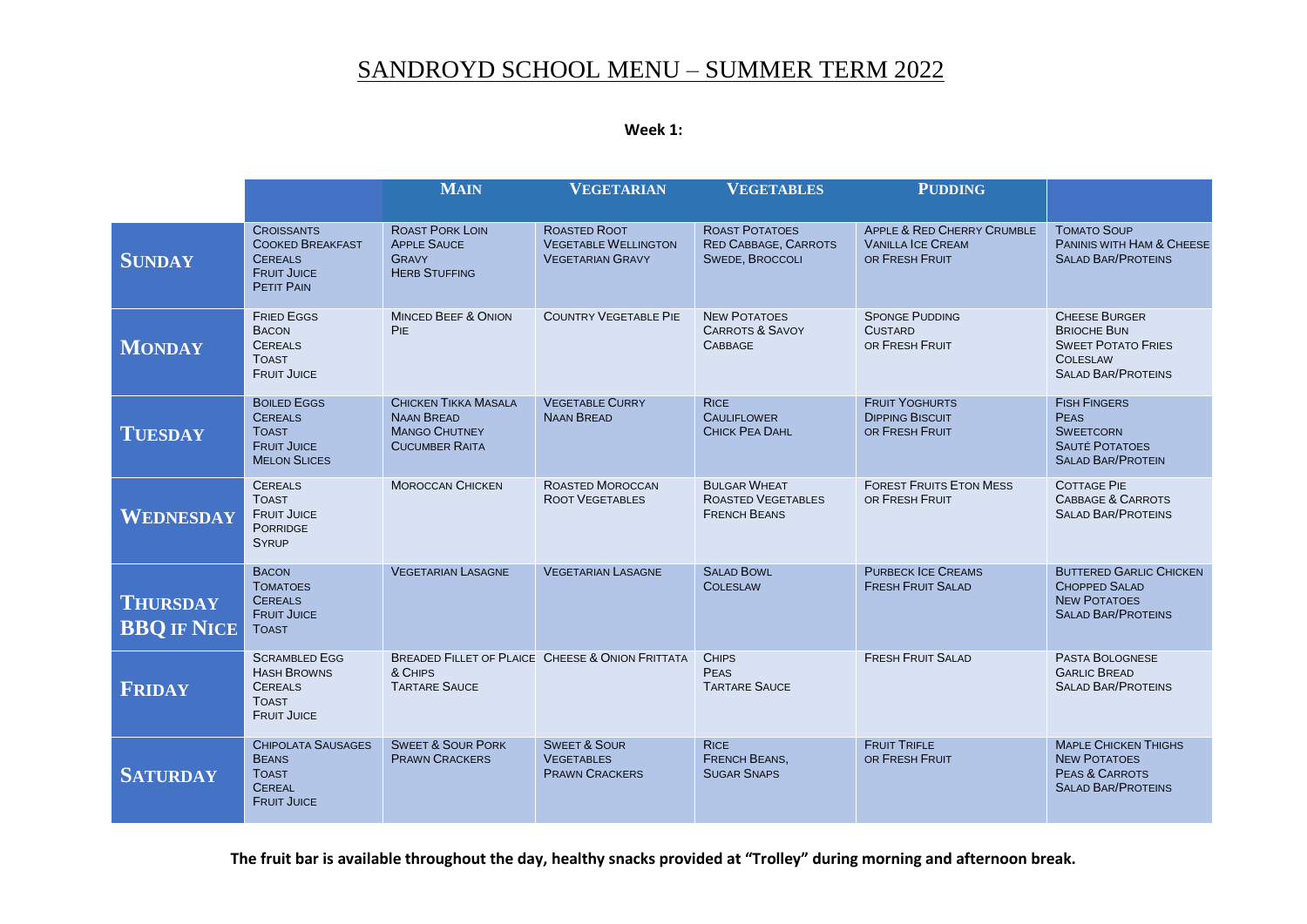## SANDROYD SCHOOL MENU – SUMMER TERM 2022

| Week 1: |  |
|---------|--|
|---------|--|

|                                       |                                                                                                           | <b>MAIN</b>                                                                                       | <b>VEGETARIAN</b>                                                      | <b>VEGETABLES</b>                                                              | <b>PUDDING</b>                                                                      |                                                                                                                         |
|---------------------------------------|-----------------------------------------------------------------------------------------------------------|---------------------------------------------------------------------------------------------------|------------------------------------------------------------------------|--------------------------------------------------------------------------------|-------------------------------------------------------------------------------------|-------------------------------------------------------------------------------------------------------------------------|
|                                       |                                                                                                           |                                                                                                   |                                                                        |                                                                                |                                                                                     |                                                                                                                         |
| <b>SUNDAY</b>                         | <b>CROISSANTS</b><br><b>COOKED BREAKFAST</b><br><b>CEREALS</b><br><b>FRUIT JUICE</b><br><b>PETIT PAIN</b> | <b>ROAST PORK LOIN</b><br><b>APPLE SAUCE</b><br><b>GRAVY</b><br><b>HERB STUFFING</b>              | ROASTED ROOT<br><b>VEGETABLE WELLINGTON</b><br><b>VEGETARIAN GRAVY</b> | <b>ROAST POTATOES</b><br><b>RED CABBAGE, CARROTS</b><br><b>SWEDE, BROCCOLI</b> | <b>APPLE &amp; RED CHERRY CRUMBLE</b><br><b>VANILLA ICE CREAM</b><br>OR FRESH FRUIT | <b>TOMATO SOUP</b><br><b>PANINIS WITH HAM &amp; CHEESE</b><br><b>SALAD BAR/PROTEINS</b>                                 |
| <b>MONDAY</b>                         | <b>FRIED EGGS</b><br><b>BACON</b><br><b>CEREALS</b><br><b>TOAST</b><br><b>FRUIT JUICE</b>                 | <b>MINCED BEEF &amp; ONION</b><br>PIE                                                             | <b>COUNTRY VEGETABLE PIE</b>                                           | <b>NEW POTATOES</b><br><b>CARROTS &amp; SAVOY</b><br><b>CABBAGE</b>            | <b>SPONGE PUDDING</b><br><b>CUSTARD</b><br>OR FRESH FRUIT                           | <b>CHEESE BURGER</b><br><b>BRIOCHE BUN</b><br><b>SWEET POTATO FRIES</b><br><b>COLESLAW</b><br><b>SALAD BAR/PROTEINS</b> |
| <b>TUESDAY</b>                        | <b>BOILED EGGS</b><br><b>CEREALS</b><br><b>TOAST</b><br><b>FRUIT JUICE</b><br><b>MELON SLICES</b>         | <b>CHICKEN TIKKA MASALA</b><br><b>NAAN BREAD</b><br><b>MANGO CHUTNEY</b><br><b>CUCUMBER RAITA</b> | <b>VEGETABLE CURRY</b><br><b>NAAN BREAD</b>                            | <b>RICE</b><br><b>CAULIFLOWER</b><br>CHICK PEA DAHL                            | <b>FRUIT YOGHURTS</b><br><b>DIPPING BISCUIT</b><br>OR FRESH FRUIT                   | <b>FISH FINGERS</b><br><b>PEAS</b><br><b>SWEETCORN</b><br><b>SAUTÉ POTATOES</b><br><b>SALAD BAR/PROTEIN</b>             |
| WEDNESDAY                             | <b>CEREALS</b><br><b>TOAST</b><br><b>FRUIT JUICE</b><br><b>PORRIDGE</b><br><b>SYRUP</b>                   | <b>MOROCCAN CHICKEN</b>                                                                           | <b>ROASTED MOROCCAN</b><br><b>ROOT VEGETABLES</b>                      | <b>BULGAR WHEAT</b><br><b>ROASTED VEGETABLES</b><br><b>FRENCH BEANS</b>        | <b>FOREST FRUITS ETON MESS</b><br>OR FRESH FRUIT                                    | <b>COTTAGE PIE</b><br><b>CABBAGE &amp; CARROTS</b><br><b>SALAD BAR/PROTEINS</b>                                         |
| <b>THURSDAY</b><br><b>BBQ IF NICE</b> | <b>BACON</b><br><b>TOMATOES</b><br><b>CEREALS</b><br><b>FRUIT JUICE</b><br><b>TOAST</b>                   | <b>VEGETARIAN LASAGNE</b>                                                                         | <b>VEGETARIAN LASAGNE</b>                                              | <b>SALAD BOWL</b><br><b>COLESLAW</b>                                           | <b>PURBECK ICE CREAMS</b><br><b>FRESH FRUIT SALAD</b>                               | <b>BUTTERED GARLIC CHICKEN</b><br><b>CHOPPED SALAD</b><br><b>NEW POTATOES</b><br><b>SALAD BAR/PROTEINS</b>              |
| <b>FRIDAY</b>                         | <b>SCRAMBLED EGG</b><br><b>HASH BROWNS</b><br><b>CEREALS</b><br><b>TOAST</b><br><b>FRUIT JUICE</b>        | & CHIPS<br><b>TARTARE SAUCE</b>                                                                   | <b>BREADED FILLET OF PLAICE CHEESE &amp; ONION FRITTATA</b>            | <b>CHIPS</b><br><b>PEAS</b><br><b>TARTARE SAUCE</b>                            | <b>FRESH FRUIT SALAD</b>                                                            | PASTA BOLOGNESE<br><b>GARLIC BREAD</b><br><b>SALAD BAR/PROTEINS</b>                                                     |
| <b>SATURDAY</b>                       | <b>CHIPOLATA SAUSAGES</b><br><b>BEANS</b><br><b>TOAST</b><br><b>CEREAL</b><br><b>FRUIT JUICE</b>          | <b>SWEET &amp; SOUR PORK</b><br><b>PRAWN CRACKERS</b>                                             | <b>SWEET &amp; SOUR</b><br><b>VEGETABLES</b><br><b>PRAWN CRACKERS</b>  | <b>RICE</b><br><b>FRENCH BEANS,</b><br><b>SUGAR SNAPS</b>                      | <b>FRUIT TRIFLE</b><br>OR FRESH FRUIT                                               | <b>MAPLE CHICKEN THIGHS</b><br><b>NEW POTATOES</b><br>PEAS & CARROTS<br><b>SALAD BAR/PROTEINS</b>                       |

**The fruit bar is available throughout the day, healthy snacks provided at "Trolley" during morning and afternoon break.**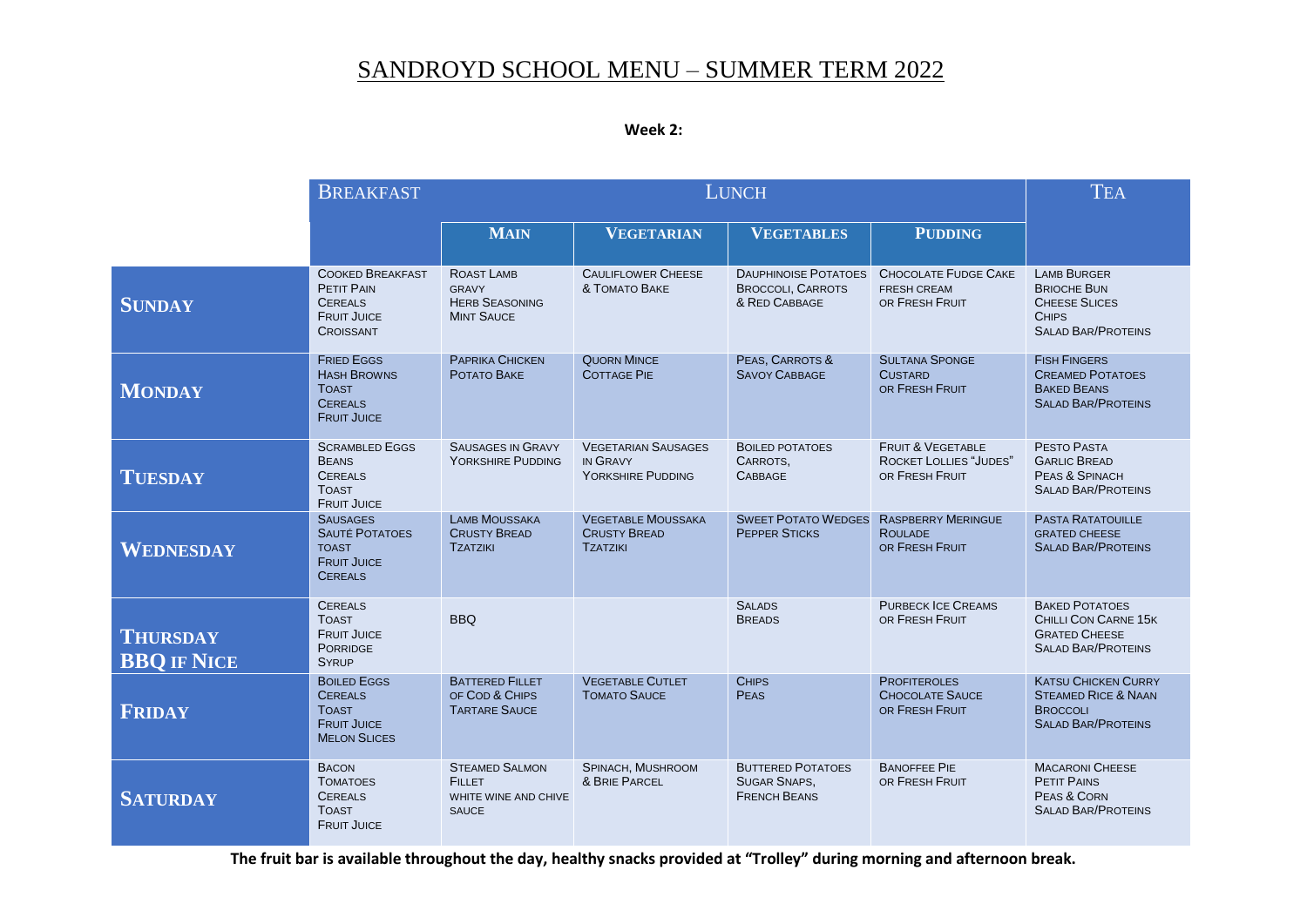## SANDROYD SCHOOL MENU – SUMMER TERM 2022

| Week |  |
|------|--|
|------|--|

|                                       | <b>LUNCH</b><br><b>BREAKFAST</b>                                                                         |                                                                                |                                                                     |                                                                          |                                                                                 | <b>TEA</b>                                                                                                    |
|---------------------------------------|----------------------------------------------------------------------------------------------------------|--------------------------------------------------------------------------------|---------------------------------------------------------------------|--------------------------------------------------------------------------|---------------------------------------------------------------------------------|---------------------------------------------------------------------------------------------------------------|
|                                       |                                                                                                          | <b>MAIN</b>                                                                    | <b>VEGETARIAN</b>                                                   | <b>VEGETABLES</b>                                                        | <b>PUDDING</b>                                                                  |                                                                                                               |
| <b>SUNDAY</b>                         | <b>COOKED BREAKFAST</b><br><b>PETIT PAIN</b><br><b>CEREALS</b><br><b>FRUIT JUICE</b><br><b>CROISSANT</b> | ROAST LAMB<br><b>GRAVY</b><br><b>HERB SEASONING</b><br><b>MINT SAUCE</b>       | <b>CAULIFLOWER CHEESE</b><br>& TOMATO BAKE                          | <b>DAUPHINOISE POTATOES</b><br><b>BROCCOLI, CARROTS</b><br>& RED CABBAGE | <b>CHOCOLATE FUDGE CAKE</b><br><b>FRESH CREAM</b><br>OR FRESH FRUIT             | <b>LAMB BURGER</b><br><b>BRIOCHE BUN</b><br><b>CHEESE SLICES</b><br><b>CHIPS</b><br><b>SALAD BAR/PROTEINS</b> |
| <b>MONDAY</b>                         | <b>FRIED EGGS</b><br><b>HASH BROWNS</b><br><b>TOAST</b><br><b>CEREALS</b><br><b>FRUIT JUICE</b>          | PAPRIKA CHICKEN<br>POTATO BAKE                                                 | <b>QUORN MINCE</b><br><b>COTTAGE PIE</b>                            | PEAS, CARROTS &<br><b>SAVOY CABBAGE</b>                                  | <b>SULTANA SPONGE</b><br><b>CUSTARD</b><br>OR FRESH FRUIT                       | <b>FISH FINGERS</b><br><b>CREAMED POTATOES</b><br><b>BAKED BEANS</b><br><b>SALAD BAR/PROTEINS</b>             |
| <b>TUESDAY</b>                        | <b>SCRAMBLED EGGS</b><br><b>BEANS</b><br><b>CEREALS</b><br><b>TOAST</b><br><b>FRUIT JUICE</b>            | <b>SAUSAGES IN GRAVY</b><br>YORKSHIRE PUDDING                                  | <b>VEGETARIAN SAUSAGES</b><br>IN GRAVY<br>YORKSHIRE PUDDING         | <b>BOILED POTATOES</b><br>CARROTS.<br><b>CABBAGE</b>                     | <b>FRUIT &amp; VEGETABLE</b><br><b>ROCKET LOLLIES "JUDES"</b><br>OR FRESH FRUIT | PESTO PASTA<br><b>GARLIC BREAD</b><br>PEAS & SPINACH<br><b>SALAD BAR/PROTEINS</b>                             |
| WEDNESDAY                             | <b>SAUSAGES</b><br><b>SAUTÉ POTATOES</b><br><b>TOAST</b><br><b>FRUIT JUICE</b><br><b>CEREALS</b>         | <b>LAMB MOUSSAKA</b><br><b>CRUSTY BREAD</b><br><b>TZATZIKI</b>                 | <b>VEGETABLE MOUSSAKA</b><br><b>CRUSTY BREAD</b><br><b>TZATZIKI</b> | <b>SWEET POTATO WEDGES</b><br><b>PEPPER STICKS</b>                       | <b>RASPBERRY MERINGUE</b><br><b>ROULADE</b><br>OR FRESH FRUIT                   | <b>PASTA RATATOUILLE</b><br><b>GRATED CHEESE</b><br><b>SALAD BAR/PROTEINS</b>                                 |
| <b>THURSDAY</b><br><b>BBQ IF NICE</b> | <b>CEREALS</b><br><b>TOAST</b><br><b>FRUIT JUICE</b><br><b>PORRIDGE</b><br><b>SYRUP</b>                  | <b>BBQ</b>                                                                     |                                                                     | <b>SALADS</b><br><b>BREADS</b>                                           | <b>PURBECK ICE CREAMS</b><br>OR FRESH FRUIT                                     | <b>BAKED POTATOES</b><br>CHILLI CON CARNE 15K<br><b>GRATED CHEESE</b><br><b>SALAD BAR/PROTEINS</b>            |
| <b>FRIDAY</b>                         | <b>BOILED EGGS</b><br><b>CEREALS</b><br><b>TOAST</b><br><b>FRUIT JUICE</b><br><b>MELON SLICES</b>        | <b>BATTERED FILLET</b><br>OF COD & CHIPS<br><b>TARTARE SAUCE</b>               | <b>VEGETABLE CUTLET</b><br><b>TOMATO SAUCE</b>                      | <b>CHIPS</b><br><b>PEAS</b>                                              | <b>PROFITEROLES</b><br><b>CHOCOLATE SAUCE</b><br>OR FRESH FRUIT                 | <b>KATSU CHICKEN CURRY</b><br><b>STEAMED RICE &amp; NAAN</b><br><b>BROCCOLI</b><br><b>SALAD BAR/PROTEINS</b>  |
| <b>SATURDAY</b>                       | <b>BACON</b><br><b>TOMATOES</b><br><b>CEREALS</b><br><b>TOAST</b><br><b>FRUIT JUICE</b>                  | <b>STEAMED SALMON</b><br><b>FILLET</b><br>WHITE WINE AND CHIVE<br><b>SAUCE</b> | SPINACH, MUSHROOM<br>& BRIE PARCEL                                  | <b>BUTTERED POTATOES</b><br><b>SUGAR SNAPS,</b><br><b>FRENCH BEANS</b>   | <b>BANOFFEE PIE</b><br>OR FRESH FRUIT                                           | <b>MACARONI CHEESE</b><br><b>PETIT PAINS</b><br>PEAS & CORN<br><b>SALAD BAR/PROTEINS</b>                      |

**The fruit bar is available throughout the day, healthy snacks provided at "Trolley" during morning and afternoon break.**